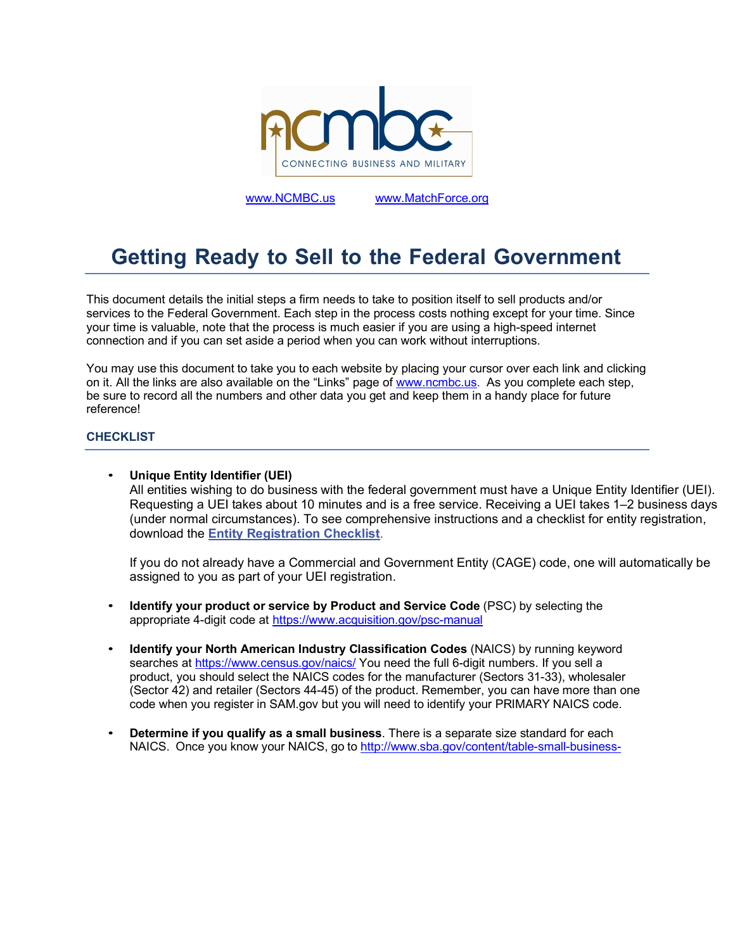

www.NCMBC.us www.MatchForce.org

# **Getting Ready to Sell to the Federal Government**

This document details the initial steps a firm needs to take to position itself to sell products and/or services to the Federal Government. Each step in the process costs nothing except for your time. Since your time is valuable, note that the process is much easier if you are using a high-speed internet connection and if you can set aside a period when you can work without interruptions.

You may use this document to take you to each website by placing your cursor over each link and clicking on it. All the links are also available on the "Links" page of www.ncmbc.us. As you complete each step, be sure to record all the numbers and other data you get and keep them in a handy place for future reference!

## **CHECKLIST**

• **Unique Entity Identifier (UEI)**

All entities wishing to do business with the federal government must have a Unique Entity Identifier (UEI). Requesting a UEI takes about 10 minutes and is a free service. Receiving a UEI takes 1–2 business days (under normal circumstances). To see comprehensive instructions and a checklist for entity registration, download the **Entity Registration Checklist**.

If you do not already have a Commercial and Government Entity (CAGE) code, one will automatically be assigned to you as part of your UEI registration.

- **Identify your product or service by Product and Service Code** (PSC) by selecting the appropriate 4-digit code at https://www.acquisition.gov/psc-manual
- **Identify your North American Industry Classification Codes (NAICS) by running keyword** searches at https://www.census.gov/naics/ You need the full 6-digit numbers. If you sell a product, you should select the NAICS codes for the manufacturer (Sectors 31-33), wholesaler (Sector 42) and retailer (Sectors 44-45) of the product. Remember, you can have more than one code when you register in SAM.gov but you will need to identify your PRIMARY NAICS code.
- **Determine if you qualify as a small business**. There is a separate size standard for each NAICS. Once you know your NAICS, go to http://www.sba.gov/content/table-small-business-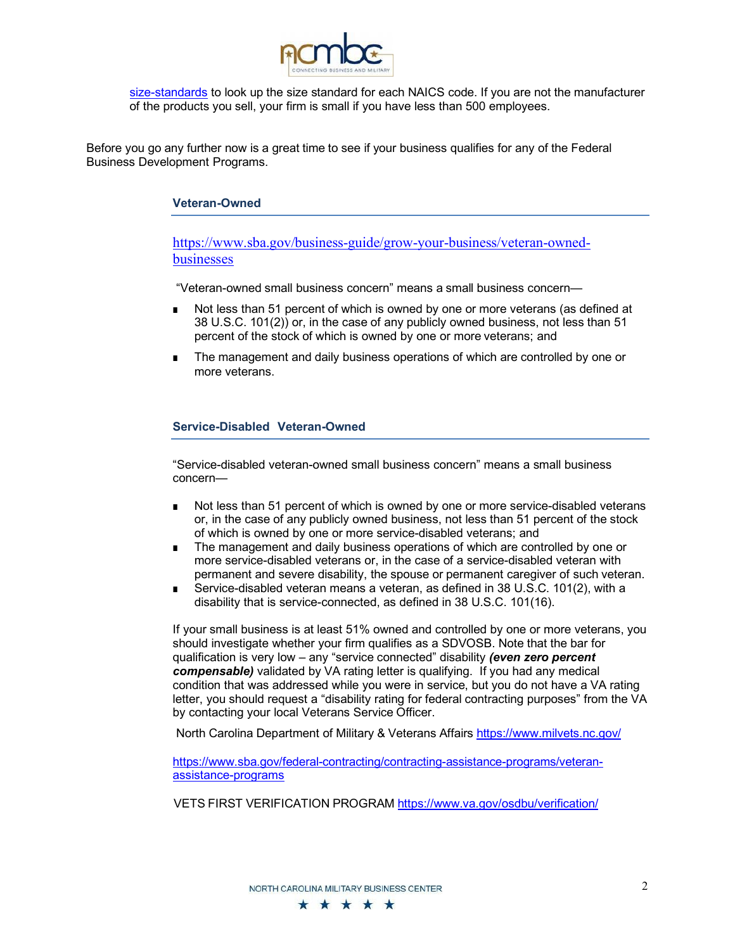

size-standards to look up the size standard for each NAICS code. If you are not the manufacturer of the products you sell, your firm is small if you have less than 500 employees.

Before you go any further now is a great time to see if your business qualifies for any of the Federal Business Development Programs.

## **Veteran-Owned**

https://www.sba.gov/business-guide/grow-your-business/veteran-ownedbusinesses

"Veteran-owned small business concern" means a small business concern—

- Not less than 51 percent of which is owned by one or more veterans (as defined at 38 U.S.C. 101(2)) or, in the case of any publicly owned business, not less than 51 percent of the stock of which is owned by one or more veterans; and
- The management and daily business operations of which are controlled by one or more veterans.

# **Service-Disabled Veteran-Owned**

"Service-disabled veteran-owned small business concern" means a small business concern—

- Not less than 51 percent of which is owned by one or more service-disabled veterans or, in the case of any publicly owned business, not less than 51 percent of the stock of which is owned by one or more service-disabled veterans; and
- The management and daily business operations of which are controlled by one or more service-disabled veterans or, in the case of a service-disabled veteran with permanent and severe disability, the spouse or permanent caregiver of such veteran.
- Service-disabled veteran means a veteran, as defined in 38 U.S.C. 101(2), with a disability that is service-connected, as defined in 38 U.S.C. 101(16).

If your small business is at least 51% owned and controlled by one or more veterans, you should investigate whether your firm qualifies as a SDVOSB. Note that the bar for qualification is very low – any "service connected" disability *(even zero percent compensable)* validated by VA rating letter is qualifying. If you had any medical condition that was addressed while you were in service, but you do not have a VA rating letter, you should request a "disability rating for federal contracting purposes" from the VA by contacting your local Veterans Service Officer.

North Carolina Department of Military & Veterans Affairs https://www.milvets.nc.gov/

https://www.sba.gov/federal-contracting/contracting-assistance-programs/veteranassistance-programs

VETS FIRST VERIFICATION PROGRAM https://www.va.gov/osdbu/verification/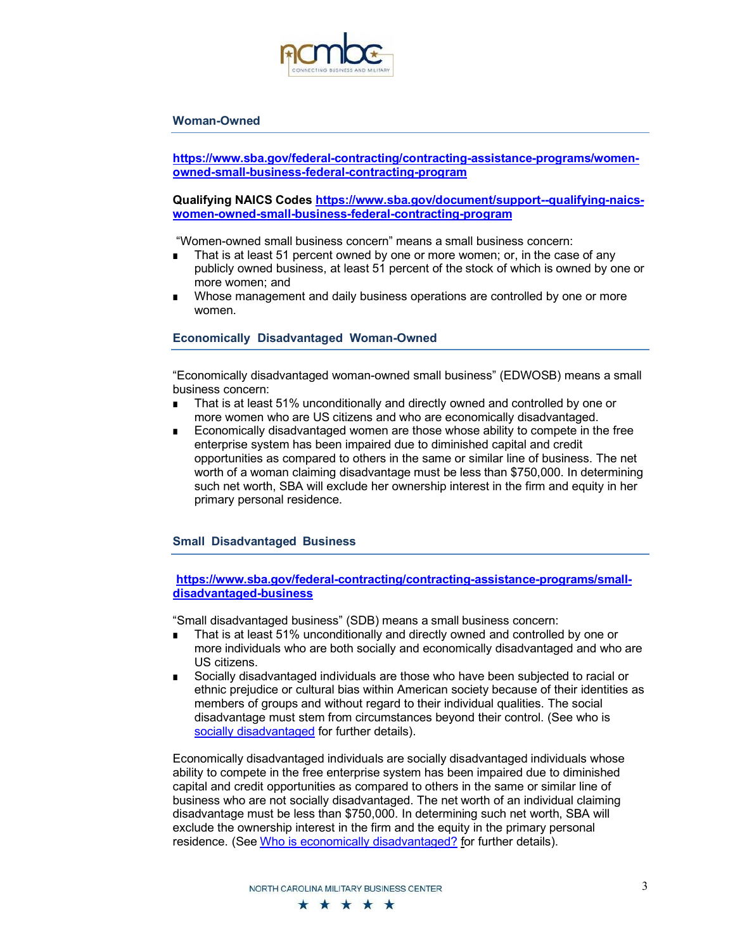

#### **Woman-Owned**

**https://www.sba.gov/federal-contracting/contracting-assistance-programs/womenowned-small-business-federal-contracting-program**

**Qualifying NAICS Codes https://www.sba.gov/document/support--qualifying-naicswomen-owned-small-business-federal-contracting-program**

"Women-owned small business concern" means a small business concern:

- That is at least 51 percent owned by one or more women; or, in the case of any publicly owned business, at least 51 percent of the stock of which is owned by one or more women; and
- Whose management and daily business operations are controlled by one or more women.

#### **Economically Disadvantaged Woman-Owned**

"Economically disadvantaged woman-owned small business" (EDWOSB) means a small business concern:

- That is at least 51% unconditionally and directly owned and controlled by one or more women who are US citizens and who are economically disadvantaged.
- Economically disadvantaged women are those whose ability to compete in the free enterprise system has been impaired due to diminished capital and credit opportunities as compared to others in the same or similar line of business. The net worth of a woman claiming disadvantage must be less than \$750,000. In determining such net worth, SBA will exclude her ownership interest in the firm and equity in her primary personal residence.

#### **Small Disadvantaged Business**

## **https://www.sba.gov/federal-contracting/contracting-assistance-programs/smalldisadvantaged-business**

"Small disadvantaged business" (SDB) means a small business concern:

- That is at least 51% unconditionally and directly owned and controlled by one or more individuals who are both socially and economically disadvantaged and who are US citizens.
- Socially disadvantaged individuals are those who have been subjected to racial or ethnic prejudice or cultural bias within American society because of their identities as members of groups and without regard to their individual qualities. The social disadvantage must stem from circumstances beyond their control. (See who is socially disadvantaged for further details).

Economically disadvantaged individuals are socially disadvantaged individuals whose ability to compete in the free enterprise system has been impaired due to diminished capital and credit opportunities as compared to others in the same or similar line of business who are not socially disadvantaged. The net worth of an individual claiming disadvantage must be less than \$750,000. In determining such net worth, SBA will exclude the ownership interest in the firm and the equity in the primary personal residence. (See Who is economically disadvantaged? for further details).

NORTH CAROLINA MILITARY RUSINESS CENTER

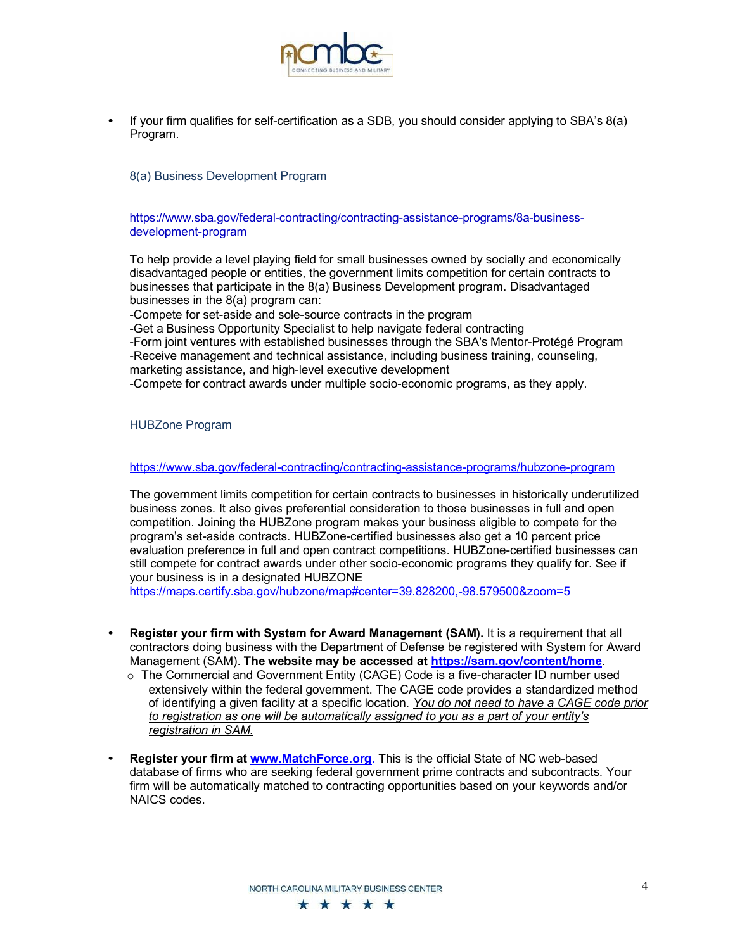

• If your firm qualifies for self-certification as a SDB, you should consider applying to SBA's 8(a) Program.

8(a) Business Development Program

https://www.sba.gov/federal-contracting/contracting-assistance-programs/8a-businessdevelopment-program

To help provide a level playing field for small businesses owned by socially and economically disadvantaged people or entities, the government limits competition for certain contracts to businesses that participate in the 8(a) Business Development program. Disadvantaged businesses in the 8(a) program can:

-Compete for set-aside and sole-source contracts in the program

-Get a Business Opportunity Specialist to help navigate federal contracting

-Form joint ventures with established businesses through the SBA's Mentor-Protégé Program -Receive management and technical assistance, including business training, counseling, marketing assistance, and high-level executive development

-Compete for contract awards under multiple socio-economic programs, as they apply.

HUBZone Program

https://www.sba.gov/federal-contracting/contracting-assistance-programs/hubzone-program

The government limits competition for certain contracts to businesses in historically underutilized business zones. It also gives preferential consideration to those businesses in full and open competition. Joining the HUBZone program makes your business eligible to compete for the program's set-aside contracts. HUBZone-certified businesses also get a 10 percent price evaluation preference in full and open contract competitions. HUBZone-certified businesses can still compete for contract awards under other socio-economic programs they qualify for. See if your business is in a designated HUBZONE

https://maps.certify.sba.gov/hubzone/map#center=39.828200,-98.579500&zoom=5

- **Register your firm with System for Award Management (SAM).** It is a requirement that all contractors doing business with the Department of Defense be registered with System for Award Management (SAM). **The website may be accessed at https://sam.gov/content/home**.
	- $\circ$  The Commercial and Government Entity (CAGE) Code is a five-character ID number used extensively within the federal government. The CAGE code provides a standardized method of identifying a given facility at a specific location. *You do not need to have a CAGE code prior to registration as one will be automatically assigned to you as a part of your entity's registration in SAM.*
- **Register your firm at www.MatchForce.org**. This is the official State of NC web-based database of firms who are seeking federal government prime contracts and subcontracts. Your firm will be automatically matched to contracting opportunities based on your keywords and/or NAICS codes.